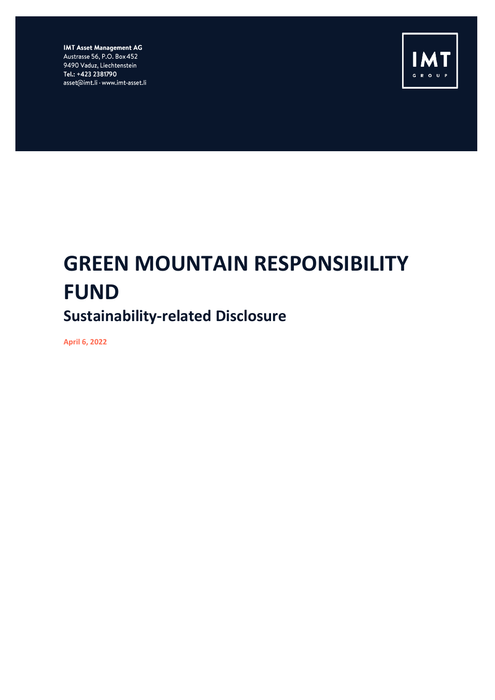**IMT Asset Management AG** Austrasse 56, P.O. Box 452 9490 Vaduz, Liechtenstein Tel.: +423 2381790 asset@imt.li · www.imt-asset.li



# **GREEN MOUNTAIN RESPONSIBILITY FUND Sustainability-related Disclosure**

**April 6, 2022**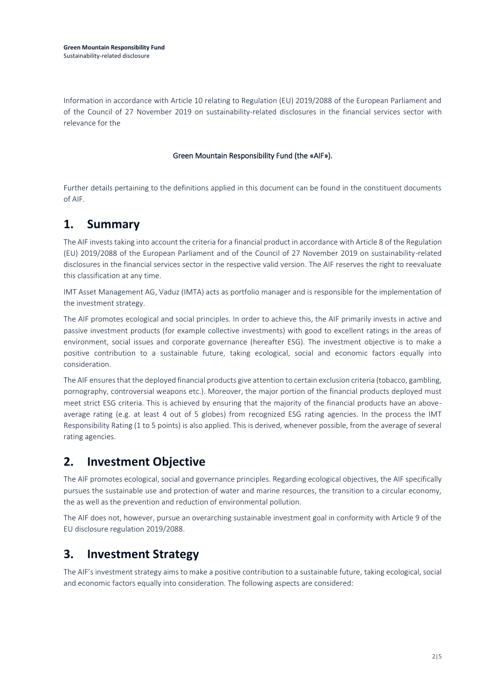**Green Mountain Responsibility Fund** Sustainability-related disclosure

Information in accordance with Article 10 relating to Regulation (EU) 2019/2088 of the European Parliament and of the Council of 27 November 2019 on sustainability-related disclosures in the financial services sector with relevance for the

#### Green Mountain Responsibility Fund (the «AIF»).

Further details pertaining to the definitions applied in this document can be found in the constituent documents of AIF.

### **1. Summary**

The AIF invests taking into account the criteria for a financial product in accordance with Article 8 of the Regulation (EU) 2019/2088 of the European Parliament and of the Council of 27 November 2019 on sustainability-related disclosures in the financial services sector in the respective valid version. The AIF reserves the right to reevaluate this classification at any time.

IMT Asset Management AG, Vaduz (IMTA) acts as portfolio manager and is responsible for the implementation of the investment strategy.

The AIF promotes ecological and social principles. In order to achieve this, the AIF primarily invests in active and passive investment products (for example collective investments) with good to excellent ratings in the areas of environment, social issues and corporate governance (hereafter ESG). The investment objective is to make a positive contribution to a sustainable future, taking ecological, social and economic factors equally into consideration.

The AIF ensures that the deployed financial products give attention to certain exclusion criteria (tobacco, gambling, pornography, controversial weapons etc.). Moreover, the major portion of the financial products deployed must meet strict ESG criteria. This is achieved by ensuring that the majority of the financial products have an aboveaverage rating (e.g. at least 4 out of 5 globes) from recognized ESG rating agencies. In the process the IMT Responsibility Rating (1 to 5 points) is also applied. This is derived, whenever possible, from the average of several rating agencies.

### **2. Investment Objective**

The AIF promotes ecological, social and governance principles. Regarding ecological objectives, the AIF specifically pursues the sustainable use and protection of water and marine resources, the transition to a circular economy, the as well as the prevention and reduction of environmental pollution.

The AIF does not, however, pursue an overarching sustainable investment goal in conformity with Article 9 of the EU disclosure regulation 2019/2088.

### **3. Investment Strategy**

The AIF's investment strategy aims to make a positive contribution to a sustainable future, taking ecological, social and economic factors equally into consideration. The following aspects are considered: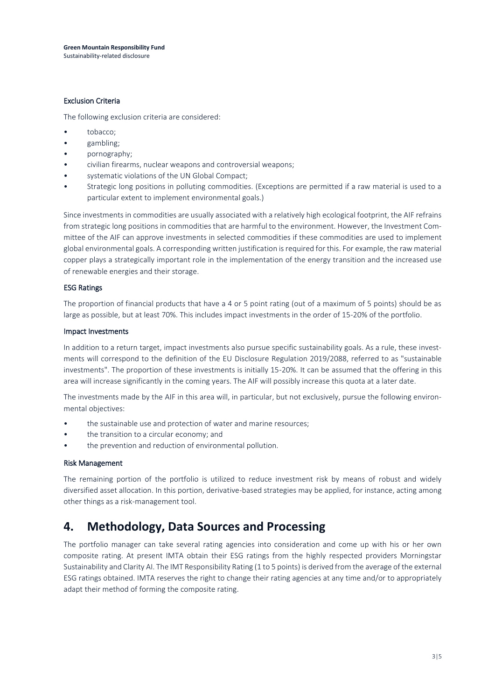#### Exclusion Criteria

The following exclusion criteria are considered:

- tobacco;
- gambling;
- pornography;
- civilian firearms, nuclear weapons and controversial weapons;
- systematic violations of the UN Global Compact;
- Strategic long positions in polluting commodities. (Exceptions are permitted if a raw material is used to a particular extent to implement environmental goals.)

Since investments in commodities are usually associated with a relatively high ecological footprint, the AIF refrains from strategic long positions in commodities that are harmful to the environment. However, the Investment Committee of the AIF can approve investments in selected commodities if these commodities are used to implement global environmental goals. A corresponding written justification is required for this. For example, the raw material copper plays a strategically important role in the implementation of the energy transition and the increased use of renewable energies and their storage.

#### ESG Ratings

The proportion of financial products that have a 4 or 5 point rating (out of a maximum of 5 points) should be as large as possible, but at least 70%. This includes impact investments in the order of 15-20% of the portfolio.

#### Impact Investments

In addition to a return target, impact investments also pursue specific sustainability goals. As a rule, these investments will correspond to the definition of the EU Disclosure Regulation 2019/2088, referred to as "sustainable investments". The proportion of these investments is initially 15-20%. It can be assumed that the offering in this area will increase significantly in the coming years. The AIF will possibly increase this quota at a later date.

The investments made by the AIF in this area will, in particular, but not exclusively, pursue the following environmental objectives:

- the sustainable use and protection of water and marine resources;
- the transition to a circular economy; and
- the prevention and reduction of environmental pollution.

#### Risk Management

The remaining portion of the portfolio is utilized to reduce investment risk by means of robust and widely diversified asset allocation. In this portion, derivative-based strategies may be applied, for instance, acting among other things as a risk-management tool.

### **4. Methodology, Data Sources and Processing**

The portfolio manager can take several rating agencies into consideration and come up with his or her own composite rating. At present IMTA obtain their ESG ratings from the highly respected providers Morningstar Sustainability and Clarity AI. The IMT Responsibility Rating (1 to 5 points) is derived from the average of the external ESG ratings obtained. IMTA reserves the right to change their rating agencies at any time and/or to appropriately adapt their method of forming the composite rating.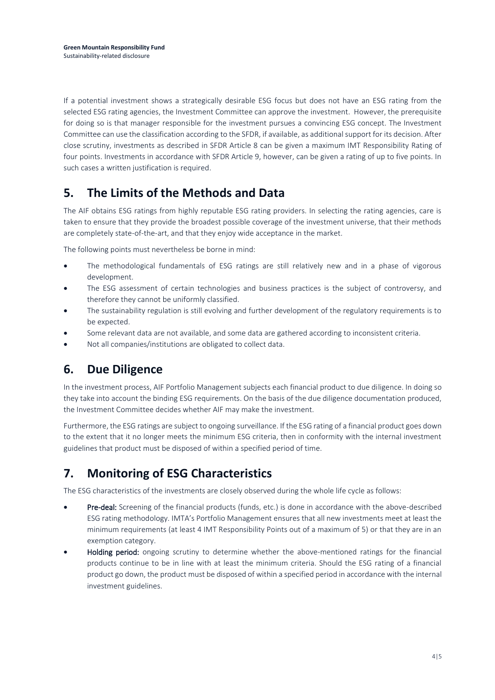If a potential investment shows a strategically desirable ESG focus but does not have an ESG rating from the selected ESG rating agencies, the Investment Committee can approve the investment. However, the prerequisite for doing so is that manager responsible for the investment pursues a convincing ESG concept. The Investment Committee can use the classification according to the SFDR, if available, as additional support for its decision. After close scrutiny, investments as described in SFDR Article 8 can be given a maximum IMT Responsibility Rating of four points. Investments in accordance with SFDR Article 9, however, can be given a rating of up to five points. In such cases a written justification is required.

# **5. The Limits of the Methods and Data**

The AIF obtains ESG ratings from highly reputable ESG rating providers. In selecting the rating agencies, care is taken to ensure that they provide the broadest possible coverage of the investment universe, that their methods are completely state-of-the-art, and that they enjoy wide acceptance in the market.

The following points must nevertheless be borne in mind:

- The methodological fundamentals of ESG ratings are still relatively new and in a phase of vigorous development.
- The ESG assessment of certain technologies and business practices is the subject of controversy, and therefore they cannot be uniformly classified.
- The sustainability regulation is still evolving and further development of the regulatory requirements is to be expected.
- Some relevant data are not available, and some data are gathered according to inconsistent criteria.
- Not all companies/institutions are obligated to collect data.

## **6. Due Diligence**

In the investment process, AIF Portfolio Management subjects each financial product to due diligence. In doing so they take into account the binding ESG requirements. On the basis of the due diligence documentation produced, the Investment Committee decides whether AIF may make the investment.

Furthermore, the ESG ratings are subject to ongoing surveillance. If the ESG rating of a financial product goes down to the extent that it no longer meets the minimum ESG criteria, then in conformity with the internal investment guidelines that product must be disposed of within a specified period of time.

## **7. Monitoring of ESG Characteristics**

The ESG characteristics of the investments are closely observed during the whole life cycle as follows:

- Pre-deal: Screening of the financial products (funds, etc.) is done in accordance with the above-described ESG rating methodology. IMTA's Portfolio Management ensures that all new investments meet at least the minimum requirements (at least 4 IMT Responsibility Points out of a maximum of 5) or that they are in an exemption category.
- Holding period: ongoing scrutiny to determine whether the above-mentioned ratings for the financial products continue to be in line with at least the minimum criteria. Should the ESG rating of a financial product go down, the product must be disposed of within a specified period in accordance with the internal investment guidelines.